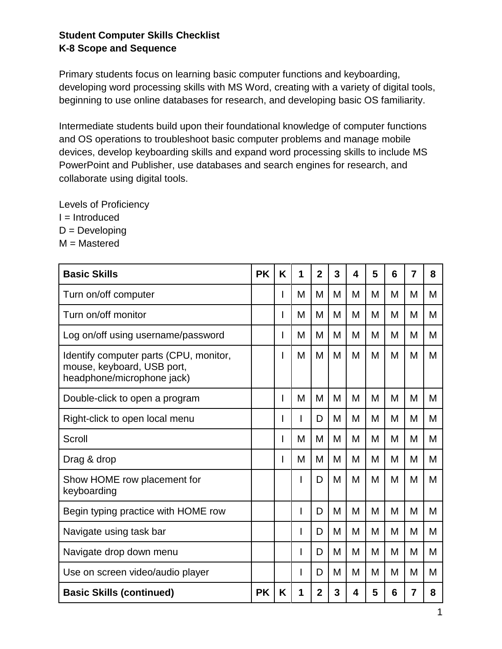## **Student Computer Skills Checklist K-8 Scope and Sequence**

Primary students focus on learning basic computer functions and keyboarding, developing word processing skills with MS Word, creating with a variety of digital tools, beginning to use online databases for research, and developing basic OS familiarity.

Intermediate students build upon their foundational knowledge of computer functions and OS operations to troubleshoot basic computer problems and manage mobile devices, develop keyboarding skills and expand word processing skills to include MS PowerPoint and Publisher, use databases and search engines for research, and collaborate using digital tools.

Levels of Proficiency I = Introduced  $D = Developing$ M = Mastered

| <b>Basic Skills</b>                                                                                | <b>PK</b> | K | 1 | $\overline{2}$ | 3 | 4 | 5 | 6 | 7 | 8 |
|----------------------------------------------------------------------------------------------------|-----------|---|---|----------------|---|---|---|---|---|---|
| Turn on/off computer                                                                               |           | I | M | M              | М | M | М | M | М | М |
| Turn on/off monitor                                                                                |           | I | M | M              | М | M | М | M | М | M |
| Log on/off using username/password                                                                 |           | I | M | M              | М | M | M | M | М | M |
| Identify computer parts (CPU, monitor,<br>mouse, keyboard, USB port,<br>headphone/microphone jack) |           | I | M | M              | М | M | M | M | М | M |
| Double-click to open a program                                                                     |           | I | M | M              | М | M | М | M | М | M |
| Right-click to open local menu                                                                     |           | I |   | D              | М | M | M | M | М | M |
| Scroll                                                                                             |           | I | M | M              | M | M | M | M | М | M |
| Drag & drop                                                                                        |           | I | M | M              | M | M | М | M | м | М |
| Show HOME row placement for<br>keyboarding                                                         |           |   |   | D              | M | M | M | M | М | M |
| Begin typing practice with HOME row                                                                |           |   |   | D              | М | M | M | M | М | М |
| Navigate using task bar                                                                            |           |   |   | D              | М | M | М | M | М | М |
| Navigate drop down menu                                                                            |           |   | L | D              | М | M | М | M | м | Μ |
| Use on screen video/audio player                                                                   |           |   |   | D              | M | M | М | M | М | M |
| <b>Basic Skills (continued)</b>                                                                    | <b>PK</b> | K | 1 | $\mathbf{2}$   | 3 | 4 | 5 | 6 | 7 | 8 |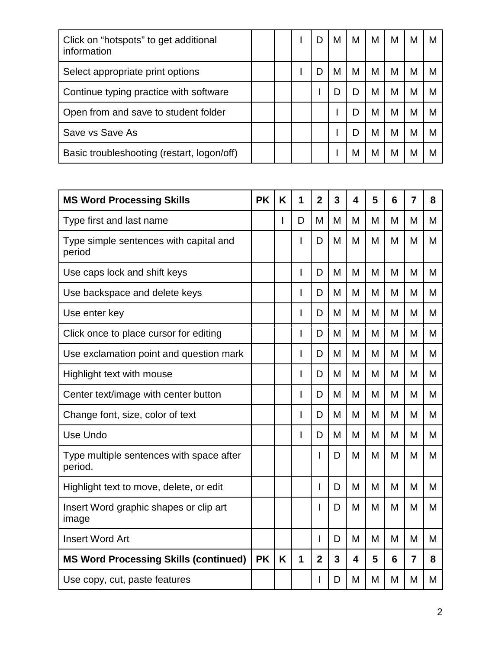| Click on "hotspots" to get additional<br>information |           |   |   | D              | M | M                       | M | M               | M              | М |
|------------------------------------------------------|-----------|---|---|----------------|---|-------------------------|---|-----------------|----------------|---|
| Select appropriate print options                     |           |   |   | D              | M | M                       | M | M               | M              | M |
| Continue typing practice with software               |           |   |   |                | D | D                       | M | M               | M              | M |
| Open from and save to student folder                 |           |   |   |                |   | D                       | M | M               | M              | M |
| Save vs Save As                                      |           |   |   |                | ı | D                       | M | M               | M              | M |
| Basic troubleshooting (restart, logon/off)           |           |   |   |                | ı | M                       | M | M               | M              | M |
|                                                      |           |   |   |                |   |                         |   |                 |                |   |
| <b>MS Word Processing Skills</b>                     | <b>PK</b> | K | 1 | $\overline{2}$ | 3 | $\overline{\mathbf{4}}$ | 5 | $6\phantom{1}6$ | $\overline{7}$ | 8 |
| Type first and last name                             |           |   | D | M              | M | M                       | M | M               | M              | M |
| Type simple sentences with capital and<br>period     |           |   | I | D              | M | M                       | M | M               | M              | M |
| Use caps lock and shift keys                         |           |   |   | D              | M | M                       | M | M               | M              | M |
| Use backspace and delete keys                        |           |   | I | D              | M | M                       | M | M               | M              | M |
| Use enter key                                        |           |   | I | D              | M | M                       | M | M               | М              | M |
| Click once to place cursor for editing               |           |   | I | D              | M | M                       | M | M               | M              | M |
| Use exclamation point and question mark              |           |   | I | D              | M | M                       | M | M               | M              | M |
| Highlight text with mouse                            |           |   | I | D              | M | M                       | M | M               | M              | M |
| Center text/image with center button                 |           |   | I | D              | M | M                       | M | M               | M              | M |
| Change font, size, color of text                     |           |   |   | D              | M | M                       | M | M               | M              | M |
| Use Undo                                             |           |   | I | D              | M | M                       | M | M               | M              | M |
| Type multiple sentences with space after<br>period.  |           |   |   | I              | D | M                       | M | M               | M              | M |
| Highlight text to move, delete, or edit              |           |   |   | L              | D | M                       | M | M               | M              | M |
| Insert Word graphic shapes or clip art<br>image      |           |   |   |                | D | M                       | M | M               | M              | M |
| <b>Insert Word Art</b>                               |           |   |   | L              | D | M                       | M | M               | M              | M |
| <b>MS Word Processing Skills (continued)</b>         | <b>PK</b> | K | 1 | $\overline{2}$ | 3 | 4                       | 5 | 6               | $\overline{7}$ | 8 |
| Use copy, cut, paste features                        |           |   |   |                | D | M                       | M | M               | M              | M |
|                                                      |           |   |   |                |   |                         |   |                 |                |   |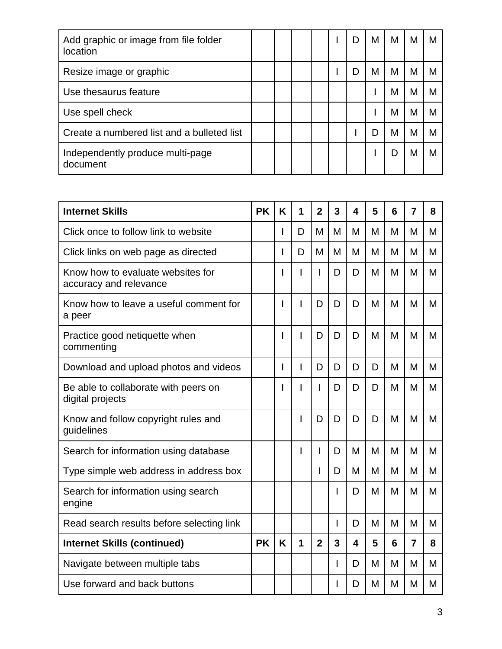| Add graphic or image from file folder<br><b>location</b> |  |  | I) | M | М | М | м |
|----------------------------------------------------------|--|--|----|---|---|---|---|
| Resize image or graphic                                  |  |  | D  | M | М | M |   |
| Use thesaurus feature                                    |  |  |    |   | М | M |   |
| Use spell check                                          |  |  |    |   | М | M |   |
| Create a numbered list and a bulleted list               |  |  |    | D | М | M |   |
| Independently produce multi-page<br>document             |  |  |    |   |   | M |   |

| <b>Internet Skills</b>                                      | <b>PK</b> | K | 1 | $\overline{2}$ | 3 | 4                       | 5 | 6 | $\overline{7}$ | 8 |
|-------------------------------------------------------------|-----------|---|---|----------------|---|-------------------------|---|---|----------------|---|
| Click once to follow link to website                        |           | L | D | М              | M | M                       | M | M | M              | M |
| Click links on web page as directed                         |           | L | D | М              | M | M                       | M | M | M              | M |
| Know how to evaluate websites for<br>accuracy and relevance |           | I | I | I              | D | D                       | M | M | M              | M |
| Know how to leave a useful comment for<br>a peer            |           | I | I | D              | D | D                       | M | M | M              | M |
| Practice good netiquette when<br>commenting                 |           | I | I | D              | D | D                       | M | M | M              | M |
| Download and upload photos and videos                       |           | I | I | D              | D | D                       | D | M | M              | M |
| Be able to collaborate with peers on<br>digital projects    |           | I | ı | I              | D | D                       | D | M | M              | M |
| Know and follow copyright rules and<br>guidelines           |           |   | I | D              | D | D                       | D | M | M              | M |
| Search for information using database                       |           |   | I | I              | D | M                       | M | M | M              | M |
| Type simple web address in address box                      |           |   |   | I              | D | M                       | M | M | M              | M |
| Search for information using search<br>engine               |           |   |   |                | ı | D                       | M | M | M              | M |
| Read search results before selecting link                   |           |   |   |                | I | D                       | M | M | M              | M |
| <b>Internet Skills (continued)</b>                          | <b>PK</b> | K | 1 | $\overline{2}$ | 3 | $\overline{\mathbf{4}}$ | 5 | 6 | $\overline{7}$ | 8 |
| Navigate between multiple tabs                              |           |   |   |                | I | D                       | M | M | М              | M |
| Use forward and back buttons                                |           |   |   |                | I | D                       | M | M | M              | M |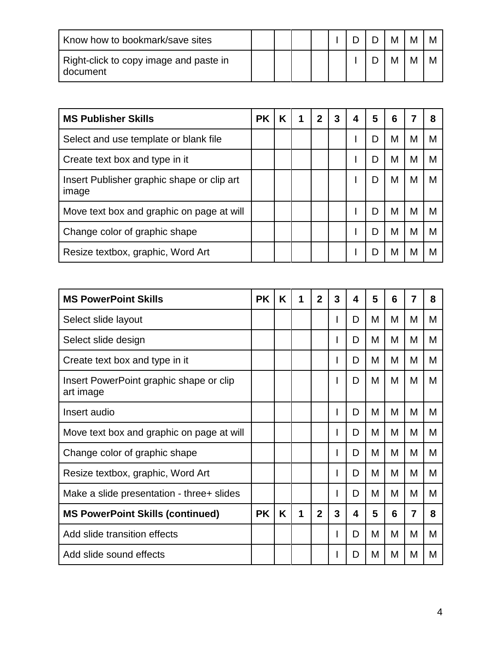| Know how to bookmark/save sites                    |  |  |  |  |  |
|----------------------------------------------------|--|--|--|--|--|
| Right-click to copy image and paste in<br>document |  |  |  |  |  |

| <b>MS Publisher Skills</b>                          | <b>PK</b> | Κ | 1 | 2 | 3 | 4 | 5 | 6 |   |   |
|-----------------------------------------------------|-----------|---|---|---|---|---|---|---|---|---|
| Select and use template or blank file               |           |   |   |   |   |   | D | M | М | M |
| Create text box and type in it                      |           |   |   |   |   |   | D | M | М | M |
| Insert Publisher graphic shape or clip art<br>image |           |   |   |   |   |   | D | M | M | м |
| Move text box and graphic on page at will           |           |   |   |   |   |   | D | M | М | М |
| Change color of graphic shape                       |           |   |   |   |   |   | D | M | М | M |
| Resize textbox, graphic, Word Art                   |           |   |   |   |   |   | D | М | М | M |

| <b>MS PowerPoint Skills</b>                          | <b>PK</b> | K | 1 | $\overline{2}$ | 3            | 4 | 5 | 6 | 7 | 8 |
|------------------------------------------------------|-----------|---|---|----------------|--------------|---|---|---|---|---|
| Select slide layout                                  |           |   |   |                |              | D | Μ | M | м | M |
| Select slide design                                  |           |   |   |                |              | D | М | М | М | M |
| Create text box and type in it                       |           |   |   |                | ı.           | D | М | М | M | M |
| Insert PowerPoint graphic shape or clip<br>art image |           |   |   |                |              | D | M | M | M | M |
| Insert audio                                         |           |   |   |                | $\mathbf{I}$ | D | M | M | M | M |
| Move text box and graphic on page at will            |           |   |   |                | J.           | D | M | M | M | М |
| Change color of graphic shape                        |           |   |   |                |              | D | M | M | М | M |
| Resize textbox, graphic, Word Art                    |           |   |   |                | I.           | D | M | M | M | M |
| Make a slide presentation - three + slides           |           |   |   |                | ı            | D | M | М | M | M |
| <b>MS PowerPoint Skills (continued)</b>              | <b>PK</b> | K | 1 | $\mathbf{2}$   | 3            | 4 | 5 | 6 | 7 | 8 |
| Add slide transition effects                         |           |   |   |                |              | D | M | M | М | M |
| Add slide sound effects                              |           |   |   |                |              | D | M | M | м | M |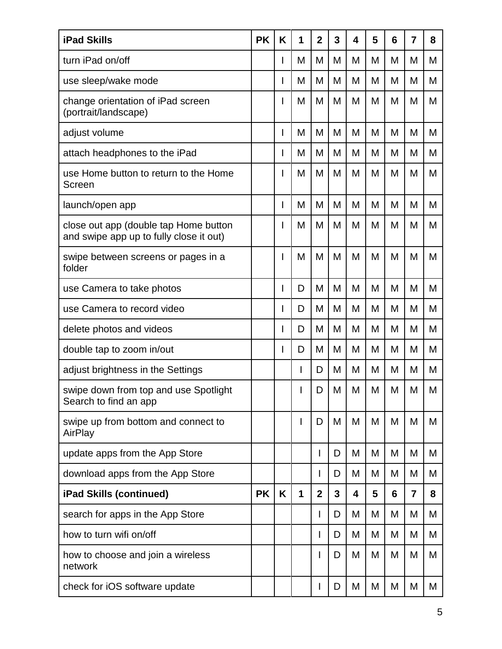| <b>iPad Skills</b>                                                               | <b>PK</b> | K | 1 | $\mathbf 2$    | 3 | 4 | 5 | 6 | 7              | 8 |
|----------------------------------------------------------------------------------|-----------|---|---|----------------|---|---|---|---|----------------|---|
| turn iPad on/off                                                                 |           |   | М | M              | М | M | M | M | M              | M |
| use sleep/wake mode                                                              |           |   | M | M              | M | M | M | M | M              | M |
| change orientation of iPad screen<br>(portrait/landscape)                        |           |   | M | M              | M | M | M | M | M              | M |
| adjust volume                                                                    |           |   | M | M              | M | M | M | M | M              | M |
| attach headphones to the iPad                                                    |           |   | М | M              | M | M | M | M | M              | M |
| use Home button to return to the Home<br>Screen                                  |           |   | M | M              | M | M | M | M | M              | М |
| launch/open app                                                                  |           |   | M | M              | M | M | M | M | M              | M |
| close out app (double tap Home button<br>and swipe app up to fully close it out) |           |   | M | M              | M | M | M | M | M              | M |
| swipe between screens or pages in a<br>folder                                    |           |   | М | M              | M | M | M | M | M              | M |
| use Camera to take photos                                                        |           |   | D | M              | M | M | M | M | M              | M |
| use Camera to record video                                                       |           |   | D | M              | Μ | M | M | M | M              | M |
| delete photos and videos                                                         |           |   | D | M              | M | M | M | M | M              | M |
| double tap to zoom in/out                                                        |           |   | D | M              | M | M | M | M | M              | M |
| adjust brightness in the Settings                                                |           |   | I | D              | M | M | M | M | M              | M |
| swipe down from top and use Spotlight<br>Search to find an app                   |           |   |   | D              | M | M | M | M | M              | M |
| swipe up from bottom and connect to<br>AirPlay                                   |           |   | I | D              | M | M | M | M | M              | M |
| update apps from the App Store                                                   |           |   |   | I              | D | M | M | M | M              | M |
| download apps from the App Store                                                 |           |   |   | I              | D | M | M | M | М              | M |
| iPad Skills (continued)                                                          | <b>PK</b> | K | 1 | $\overline{2}$ | 3 | 4 | 5 | 6 | $\overline{7}$ | 8 |
| search for apps in the App Store                                                 |           |   |   | I              | D | M | M | M | M              | M |
| how to turn wifi on/off                                                          |           |   |   | I              | D | M | M | M | M              | M |
| how to choose and join a wireless<br>network                                     |           |   |   | $\overline{1}$ | D | M | M | M | M              | M |
| check for iOS software update                                                    |           |   |   | L              | D | M | M | M | M              | M |